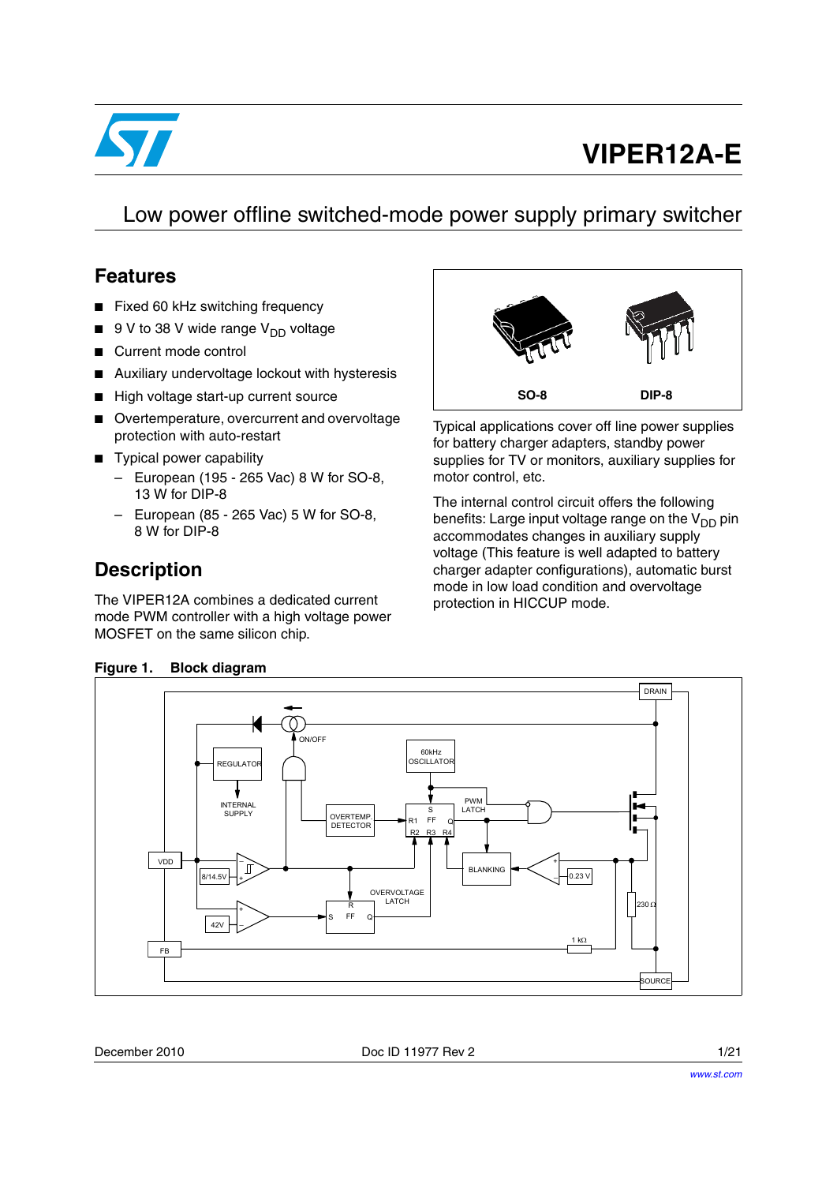

# **VIPER12A-E**

Low power offline switched-mode power supply primary switcher

#### **Features**

- Fixed 60 kHz switching frequency
- $9$  V to 38 V wide range  $V_{DD}$  voltage
- Current mode control
- Auxiliary undervoltage lockout with hysteresis
- High voltage start-up current source
- Overtemperature, overcurrent and overvoltage protection with auto-restart
- Typical power capability
	- European (195 265 Vac) 8 W for SO-8, 13 W for DIP-8
	- European (85 265 Vac) 5 W for SO-8, 8 W for DIP-8

### **Description**

The VIPER12A combines a dedicated current mode PWM controller with a high voltage power MOSFET on the same silicon chip.



Typical applications cover off line power supplies for battery charger adapters, standby power supplies for TV or monitors, auxiliary supplies for motor control, etc.

The internal control circuit offers the following benefits: Large input voltage range on the  $V_{DD}$  pin accommodates changes in auxiliary supply voltage (This feature is well adapted to battery charger adapter configurations), automatic burst mode in low load condition and overvoltage protection in HICCUP mode.

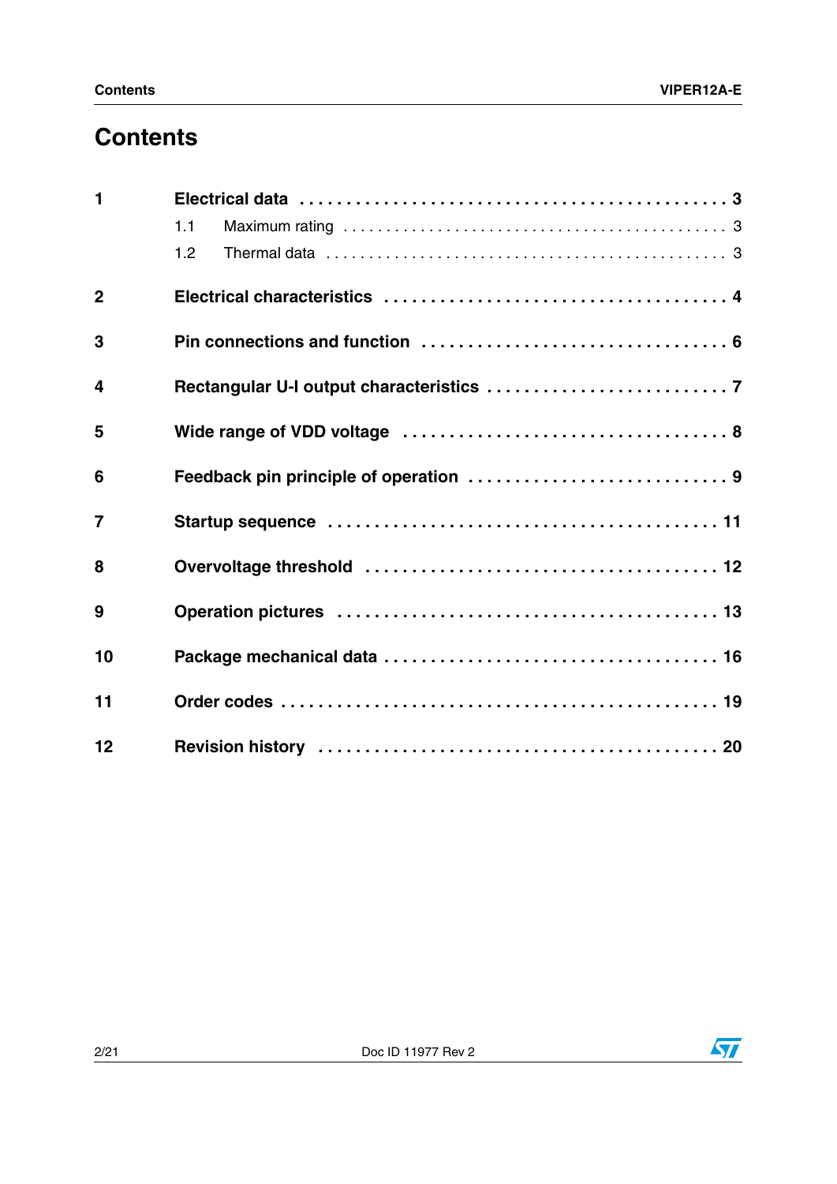### **Contents**

| $\mathbf 1$             |     |  |
|-------------------------|-----|--|
|                         | 1.1 |  |
|                         | 1.2 |  |
| $\overline{2}$          |     |  |
| 3                       |     |  |
| $\overline{\mathbf{4}}$ |     |  |
| 5                       |     |  |
| 6                       |     |  |
| $\overline{7}$          |     |  |
| 8                       |     |  |
| 9                       |     |  |
| 10                      |     |  |
| 11                      |     |  |
| 12                      |     |  |

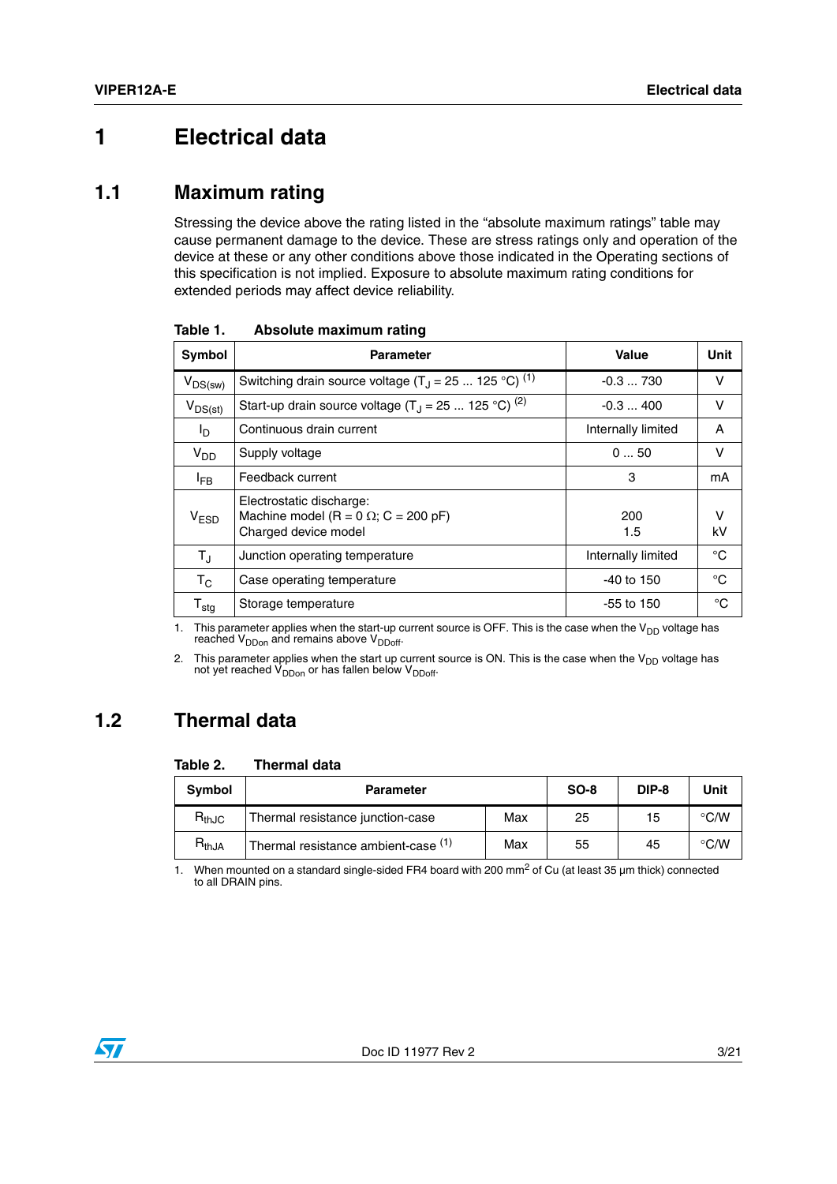### <span id="page-2-0"></span>**1 Electrical data**

#### <span id="page-2-1"></span>**1.1 Maximum rating**

Stressing the device above the rating listed in the "absolute maximum ratings" table may cause permanent damage to the device. These are stress ratings only and operation of the device at these or any other conditions above those indicated in the Operating sections of this specification is not implied. Exposure to absolute maximum rating conditions for extended periods may affect device reliability.

| Symbol                      | <b>Parameter</b>                                                                                | Value              | Unit    |
|-----------------------------|-------------------------------------------------------------------------------------------------|--------------------|---------|
| $V_{DS(sw)}$                | Switching drain source voltage $(T_1 = 25  125 °C)^{(1)}$                                       | $-0.3730$          | v       |
| $V_{DS(st)}$                | Start-up drain source voltage $(T_1 = 25  125 °C)^{(2)}$                                        | $-0.3400$          | v       |
| l <sub>D</sub>              | Continuous drain current                                                                        | Internally limited | A       |
| $V_{DD}$                    | Supply voltage                                                                                  | 050                | v       |
| <sup>I</sup> FB             | Feedback current                                                                                | 3                  | mA      |
| V <sub>ESD</sub>            | Electrostatic discharge:<br>Machine model (R = 0 $\Omega$ ; C = 200 pF)<br>Charged device model | 200<br>1.5         | v<br>kV |
| $T_{\rm J}$                 | Junction operating temperature                                                                  | Internally limited | °C      |
| $\mathsf{T}_{\mathsf{C}}$   | Case operating temperature                                                                      | $-40$ to 150       | °C      |
| $\mathsf{T}_{\mathsf{stg}}$ | Storage temperature                                                                             | -55 to 150         | °C      |

**Table 1. Absolute maximum rating** 

1. This parameter applies when the start-up current source is OFF. This is the case when the  $V_{DD}$  voltage has reached V<sub>DDon</sub> and remains above V<sub>DDoff</sub>.

2. This parameter applies when the start up current source is ON. This is the case when the  $V_{DD}$  voltage has not yet reached  $V_{DDon}$  or has fallen below  $V_{DDoff}$ .

### <span id="page-2-2"></span>**1.2 Thermal data**

#### **Table 2. Thermal data**

| Symbol     | <b>Parameter</b>                    | $SO-8$ | DIP-8 | Unit |               |
|------------|-------------------------------------|--------|-------|------|---------------|
| $R_{thJC}$ | Thermal resistance junction-case    | Max    | 25    | 15   | $\degree$ C/W |
| $R_{thJA}$ | Thermal resistance ambient-case (1) | Max    | 55    | 45   | $\degree$ C/W |

1. When mounted on a standard single-sided FR4 board with 200 mm<sup>2</sup> of Cu (at least 35 µm thick) connected to all DRAIN pins.

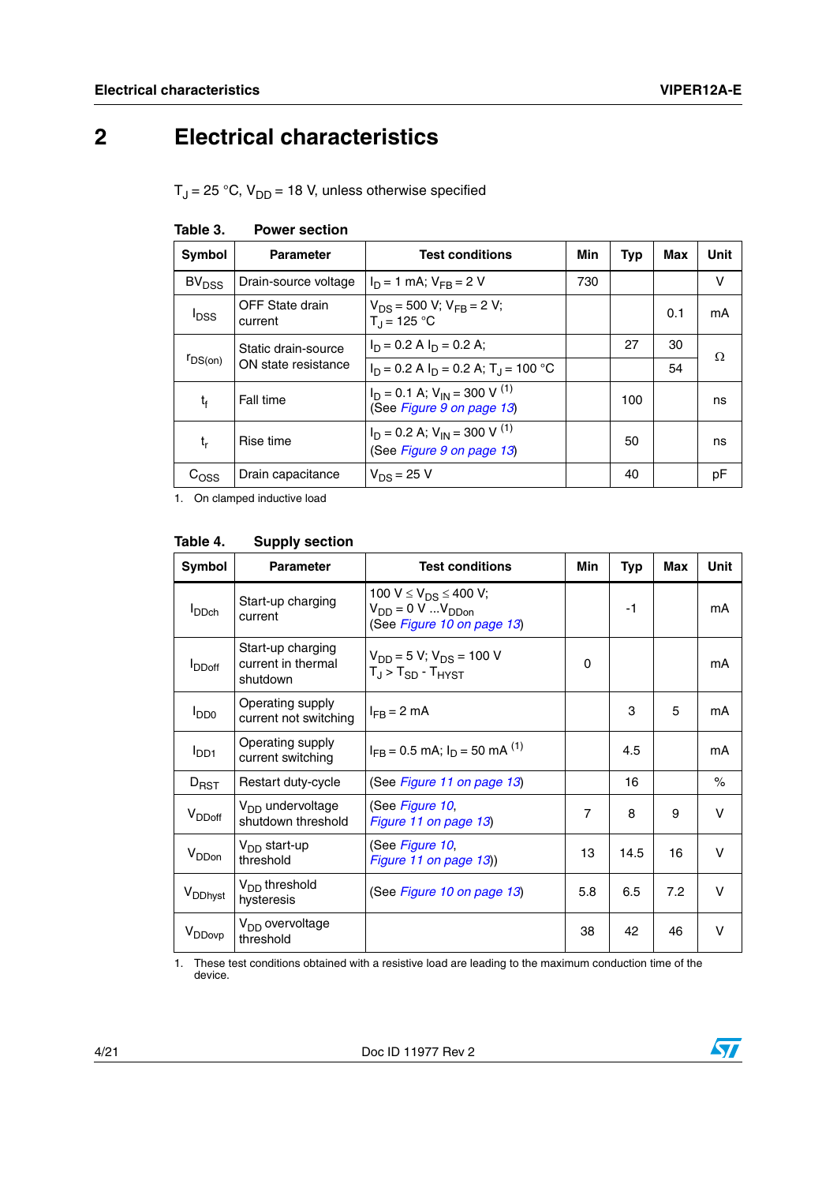## <span id="page-3-0"></span>**2 Electrical characteristics**

 $T_J$  = 25 °C,  $V_{DD}$  = 18 V, unless otherwise specified

| <b>Symbol</b>     | <b>Parameter</b>           | <b>Test conditions</b>                                                      | Min | Typ | Max | Unit |
|-------------------|----------------------------|-----------------------------------------------------------------------------|-----|-----|-----|------|
| BV <sub>DSS</sub> | Drain-source voltage       | $I_D = 1$ mA; $V_{FB} = 2$ V                                                | 730 |     |     | v    |
| <sup>I</sup> DSS  | OFF State drain<br>current | $V_{DS}$ = 500 V; $V_{FB}$ = 2 V;<br>$T_{\rm d}$ = 125 °C                   |     |     | 0.1 | mA   |
|                   | Static drain-source        | $I_D = 0.2$ A $I_D = 0.2$ A;                                                |     | 27  | 30  | Ω    |
| $r_{DS(on)}$      | ON state resistance        | $I_D = 0.2$ A $I_D = 0.2$ A; $T_A = 100$ °C                                 |     |     | 54  |      |
| t,                | Fall time                  | $I_D = 0.1$ A; $V_{IN} = 300$ V <sup>(1)</sup><br>(See Figure 9 on page 13) |     | 100 |     | ns   |
| t,                | Rise time                  | $I_D = 0.2$ A; $V_{IN} = 300$ V <sup>(1)</sup><br>(See Figure 9 on page 13) |     | 50  |     | ns   |
| C <sub>OSS</sub>  | Drain capacitance          | $V_{DS} = 25 V$                                                             |     | 40  |     | рF   |

<span id="page-3-2"></span>

|  | Table 3. | <b>Power section</b> |
|--|----------|----------------------|
|--|----------|----------------------|

1. On clamped inductive load

<span id="page-3-1"></span>

| Table 4.            | <b>Supply section</b>                               |                                                                                                            |                |      |     |              |
|---------------------|-----------------------------------------------------|------------------------------------------------------------------------------------------------------------|----------------|------|-----|--------------|
| <b>Symbol</b>       | <b>Parameter</b>                                    | <b>Test conditions</b>                                                                                     | Min            | Typ  | Max | Unit         |
| <b>I</b> DDch       | Start-up charging<br>current                        | 100 V $\leq$ V <sub>DS</sub> $\leq$ 400 V;<br>$V_{DD} = 0 \, V \,  V_{DDon}$<br>(See Figure 10 on page 13) |                | $-1$ |     | mA           |
| <b>I</b> DDoff      | Start-up charging<br>current in thermal<br>shutdown | $V_{DD} = 5 V$ ; $V_{DS} = 100 V$<br>$T_J$ > $T_{SD}$ - $T_{H YST}$                                        | 0              |      |     | mA           |
| $I_{DD0}$           | Operating supply<br>current not switching           | $I_{FR}$ = 2 mA                                                                                            |                | 3    | 5   | mA           |
| I <sub>DD1</sub>    | Operating supply<br>current switching               | $I_{FB}$ = 0.5 mA; $I_D$ = 50 mA <sup>(1)</sup>                                                            |                | 4.5  |     | mA           |
| $D_{RST}$           | Restart duty-cycle                                  | (See Figure 11 on page 13)                                                                                 |                | 16   |     | $\%$         |
| V <sub>DDoff</sub>  | V <sub>DD</sub> undervoltage<br>shutdown threshold  | (See Figure 10,<br>Figure 11 on page 13)                                                                   | $\overline{7}$ | 8    | 9   | v            |
| V <sub>DDon</sub>   | $V_{DD}$ start-up<br>threshold                      | (See Figure 10,<br>Figure 11 on page 13)                                                                   | 13             | 14.5 | 16  | V            |
| V <sub>DDhyst</sub> | $VDD$ threshold<br>hysteresis                       | (See Figure 10 on page 13)                                                                                 | 5.8            | 6.5  | 7.2 | $\mathsf{V}$ |
| V <sub>DDovp</sub>  | V <sub>DD</sub> overvoltage<br>threshold            |                                                                                                            | 38             | 42   | 46  | $\vee$       |
| 1.<br>device.       |                                                     | These test conditions obtained with a resistive load are leading to the maximum conduction time of the     |                |      |     |              |

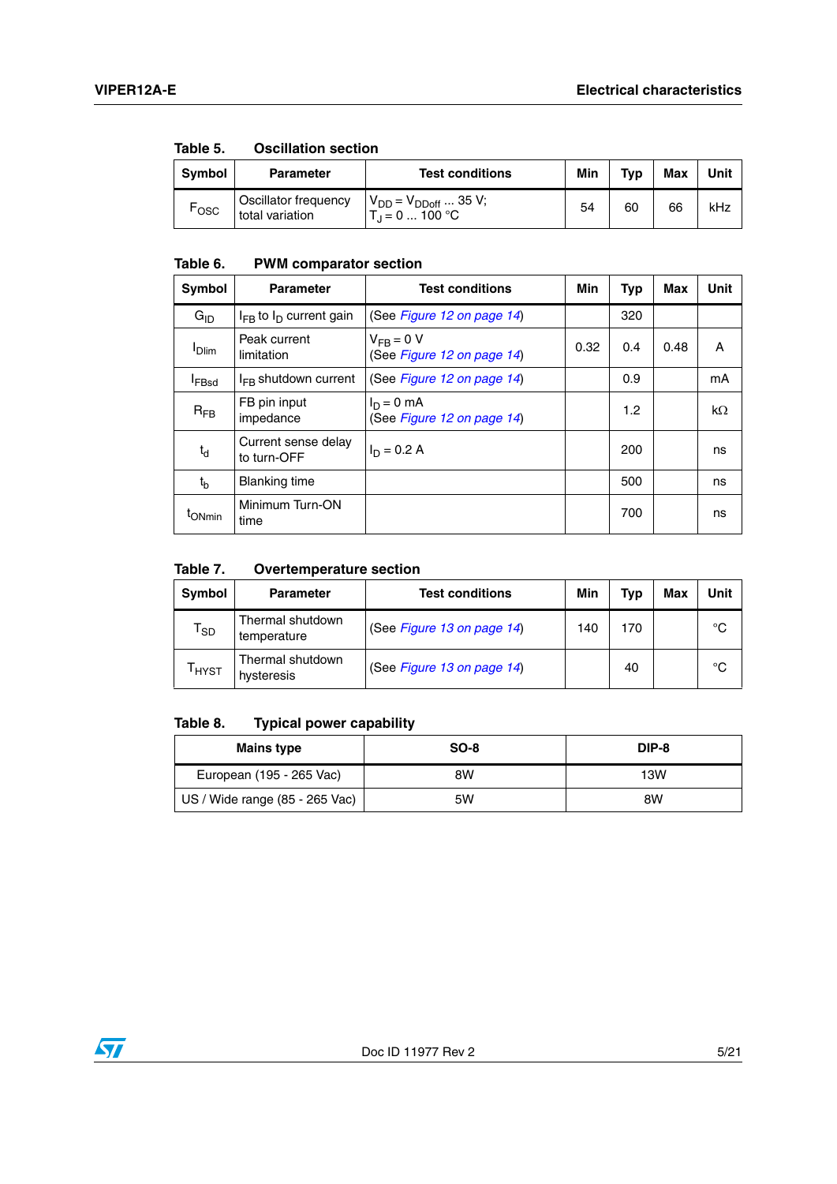| ט טושטו. | OSCIIIQUOII SCCUOII                     |                                                        |     |     |            |      |
|----------|-----------------------------------------|--------------------------------------------------------|-----|-----|------------|------|
| Symbol   | <b>Parameter</b>                        | <b>Test conditions</b>                                 | Min | Tvp | <b>Max</b> | Unit |
| ⊤osc     | Oscillator frequency<br>total variation | $V_{DD} = V_{DDoff}  35 V;$<br>$T_{\rm d}$ = 0  100 °C | 54  | 60  | 66         | kHz  |

#### **Table 5. Oscillation section**

#### **Table 6. PWM comparator section**

| Symbol            | <b>Parameter</b>                   | <b>Test conditions</b>                       | Min  | Typ | Max  | <b>Unit</b> |
|-------------------|------------------------------------|----------------------------------------------|------|-----|------|-------------|
| $G_{ID}$          | $I_{FB}$ to $I_D$ current gain     | (See Figure 12 on page 14)                   |      | 320 |      |             |
| <b>Dlim</b>       | Peak current<br>limitation         | $V_{FR} = 0 V$<br>(See Figure 12 on page 14) | 0.32 | 0.4 | 0.48 | A           |
| <sup>I</sup> FBsd | $I_{FR}$ shutdown current          | (See Figure 12 on page 14)                   |      | 0.9 |      | mA          |
| $R_{FB}$          | FB pin input<br>impedance          | $I_D = 0$ mA<br>(See Figure 12 on page 14)   |      | 1.2 |      | $k\Omega$   |
| $t_d$             | Current sense delay<br>to turn-OFF | $I_D = 0.2 A$                                |      | 200 |      | ns          |
| $t_{h}$           | <b>Blanking time</b>               |                                              |      | 500 |      | ns          |
| <b>I</b> ONmin    | Minimum Turn-ON<br>time            |                                              |      | 700 |      | ns          |

#### **Table 7. Overtemperature section**

| Symbol                     | <b>Parameter</b>                | <b>Test conditions</b>     | Min | Tvp | Max | Unit |
|----------------------------|---------------------------------|----------------------------|-----|-----|-----|------|
| $\mathsf{T}_{\mathsf{SD}}$ | Thermal shutdown<br>temperature | (See Figure 13 on page 14) | 140 | 170 |     | °C   |
| <sup>I</sup> HYST          | Thermal shutdown<br>hysteresis  | (See Figure 13 on page 14) |     | 40  |     | °C   |

#### **Table 8. Typical power capability**

| <b>Mains type</b>              | $SO-8$ | DIP-8 |
|--------------------------------|--------|-------|
| European (195 - 265 Vac)       | 8W     | 13W   |
| US / Wide range (85 - 265 Vac) | 5W     | 8W    |

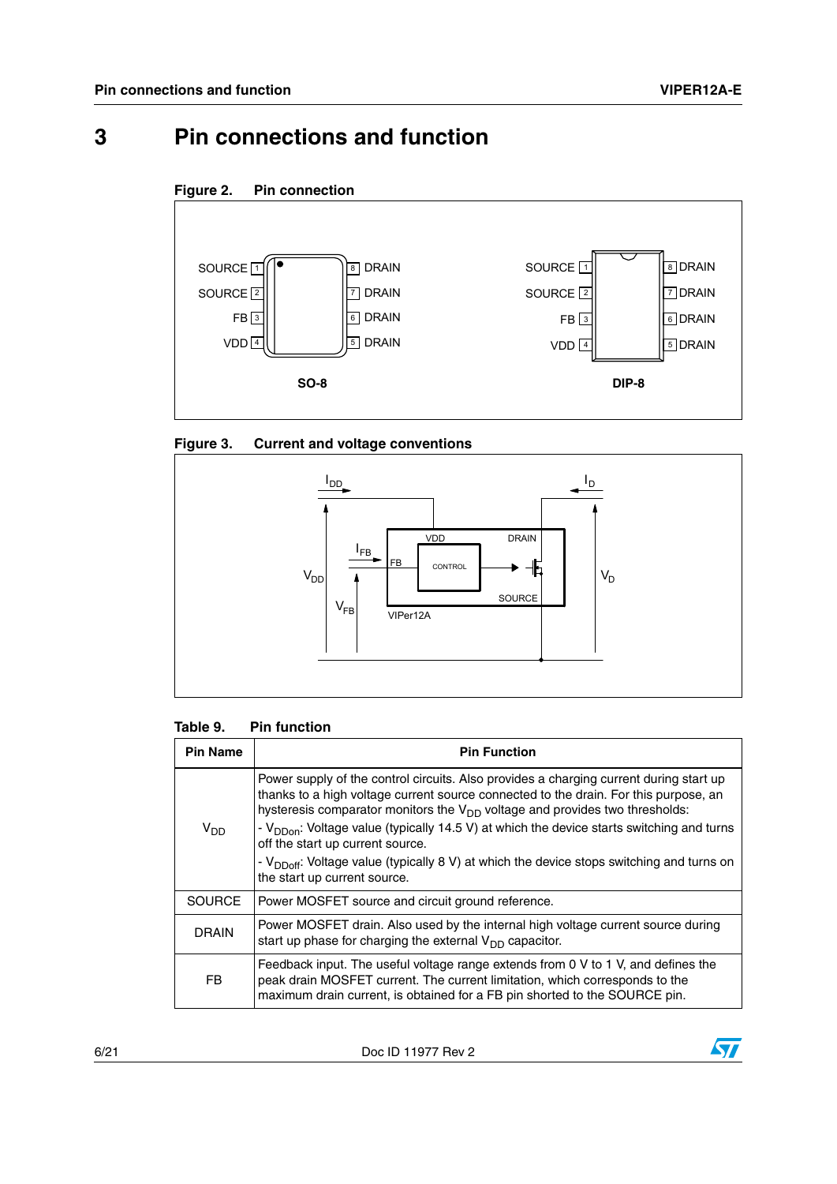### <span id="page-5-0"></span>**3 Pin connections and function**





#### **Figure 3. Current and voltage conventions**



#### **Table 9. Pin function**

| <b>Pin Name</b> | <b>Pin Function</b>                                                                                                                                                                                                                                                                                                                                                                                                                                                                                                                               |
|-----------------|---------------------------------------------------------------------------------------------------------------------------------------------------------------------------------------------------------------------------------------------------------------------------------------------------------------------------------------------------------------------------------------------------------------------------------------------------------------------------------------------------------------------------------------------------|
| V <sub>DD</sub> | Power supply of the control circuits. Also provides a charging current during start up<br>thanks to a high voltage current source connected to the drain. For this purpose, an<br>hysteresis comparator monitors the $V_{DD}$ voltage and provides two thresholds:<br>- V <sub>DDon</sub> : Voltage value (typically 14.5 V) at which the device starts switching and turns<br>off the start up current source.<br>- $V_{DDoff}$ : Voltage value (typically 8 V) at which the device stops switching and turns on<br>the start up current source. |
| <b>SOURCE</b>   | Power MOSFET source and circuit ground reference.                                                                                                                                                                                                                                                                                                                                                                                                                                                                                                 |
| <b>DRAIN</b>    | Power MOSFET drain. Also used by the internal high voltage current source during<br>start up phase for charging the external $V_{DD}$ capacitor.                                                                                                                                                                                                                                                                                                                                                                                                  |
| FB.             | Feedback input. The useful voltage range extends from 0 V to 1 V, and defines the<br>peak drain MOSFET current. The current limitation, which corresponds to the<br>maximum drain current, is obtained for a FB pin shorted to the SOURCE pin.                                                                                                                                                                                                                                                                                                    |

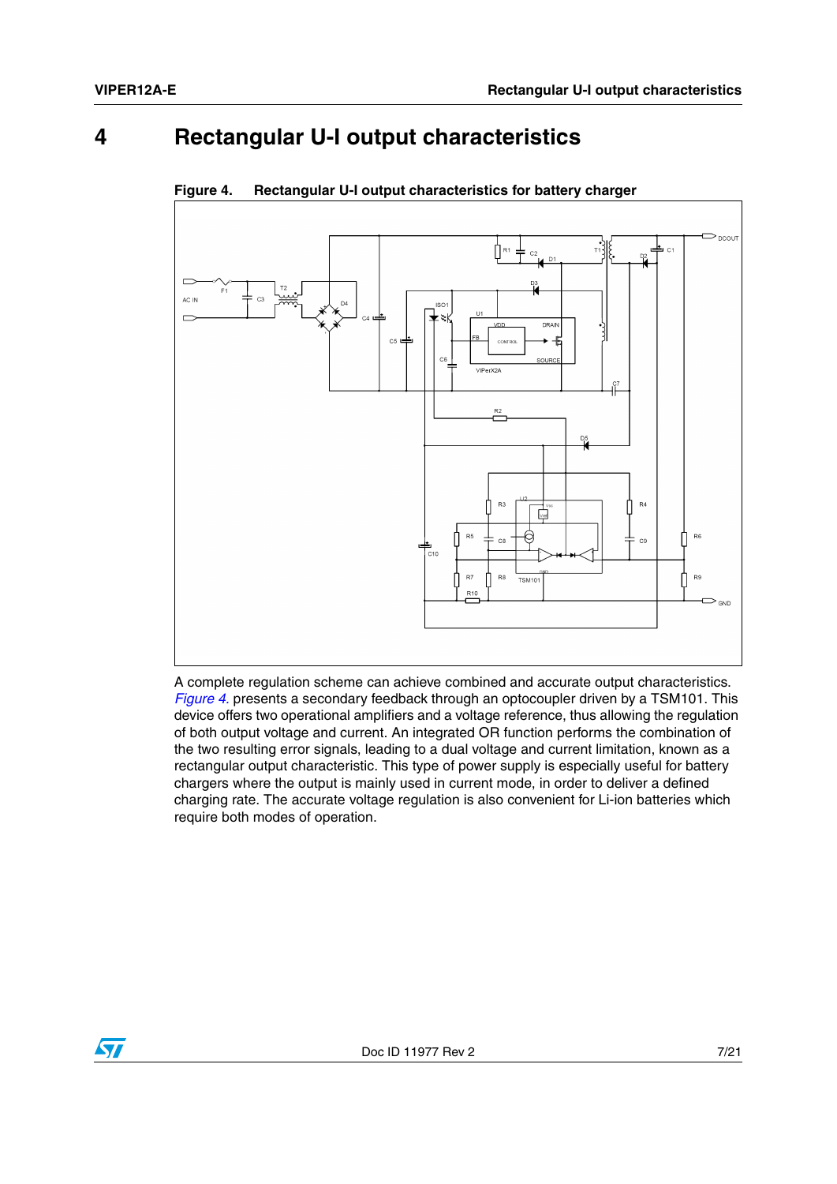### <span id="page-6-0"></span>**4 Rectangular U-I output characteristics**



<span id="page-6-1"></span>**Figure 4. Rectangular U-I output characteristics for battery charger**

A complete regulation scheme can achieve combined and accurate output characteristics. *[Figure 4.](#page-6-1)* presents a secondary feedback through an optocoupler driven by a TSM101. This device offers two operational amplifiers and a voltage reference, thus allowing the regulation of both output voltage and current. An integrated OR function performs the combination of the two resulting error signals, leading to a dual voltage and current limitation, known as a rectangular output characteristic. This type of power supply is especially useful for battery chargers where the output is mainly used in current mode, in order to deliver a defined charging rate. The accurate voltage regulation is also convenient for Li-ion batteries which require both modes of operation.

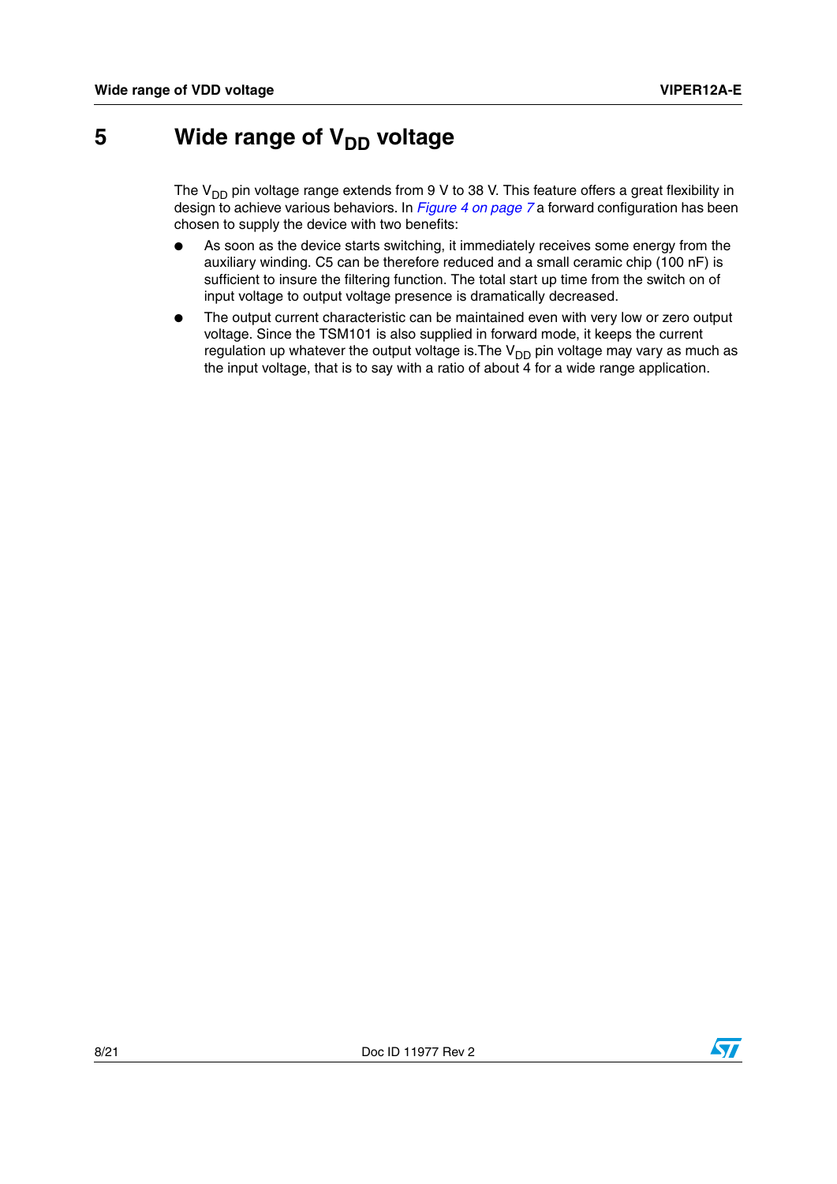### <span id="page-7-0"></span>**5** Wide range of V<sub>DD</sub> voltage

The  $V_{DD}$  pin voltage range extends from 9 V to 38 V. This feature offers a great flexibility in design to achieve various behaviors. In *[Figure 4 on page 7](#page-6-1)* a forward configuration has been chosen to supply the device with two benefits:

- As soon as the device starts switching, it immediately receives some energy from the auxiliary winding. C5 can be therefore reduced and a small ceramic chip (100 nF) is sufficient to insure the filtering function. The total start up time from the switch on of input voltage to output voltage presence is dramatically decreased.
- The output current characteristic can be maintained even with very low or zero output voltage. Since the TSM101 is also supplied in forward mode, it keeps the current regulation up whatever the output voltage is. The  $V_{DD}$  pin voltage may vary as much as the input voltage, that is to say with a ratio of about  $\overline{4}$  for a wide range application.

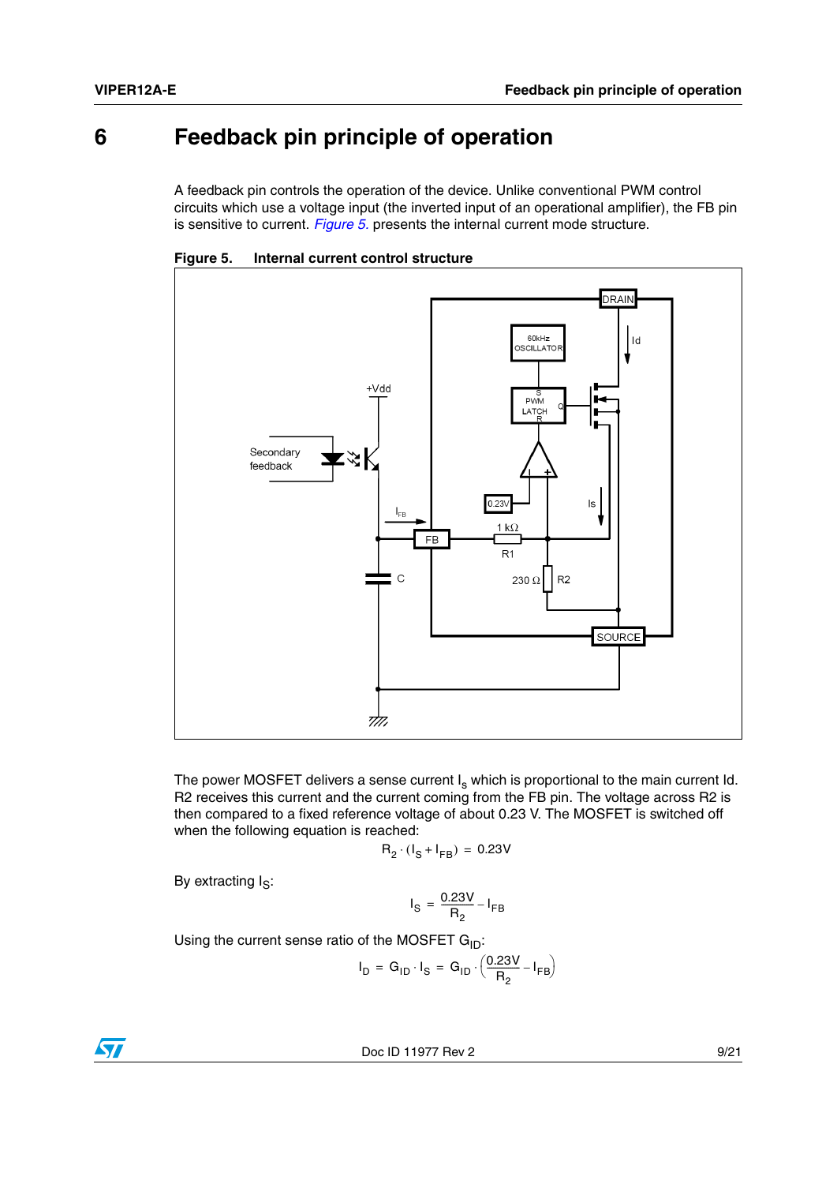### <span id="page-8-0"></span>**6 Feedback pin principle of operation**

A feedback pin controls the operation of the device. Unlike conventional PWM control circuits which use a voltage input (the inverted input of an operational amplifier), the FB pin is sensitive to current. *[Figure 5.](#page-8-1)* presents the internal current mode structure.



<span id="page-8-1"></span>**Figure 5. Internal current control structure** 

The power MOSFET delivers a sense current  $I_s$  which is proportional to the main current Id. R2 receives this current and the current coming from the FB pin. The voltage across R2 is then compared to a fixed reference voltage of about 0.23 V. The MOSFET is switched off when the following equation is reached:

$$
R_2 \cdot (I_S + I_{FB}) = 0.23V
$$

By extracting  $I_S$ :

$$
I_{\rm S} = \frac{0.23V}{R_2} - I_{\rm FB}
$$

Using the current sense ratio of the MOSFET  $G_{ID}$ :

$$
I_D = G_{ID} \cdot I_S = G_{ID} \cdot \left(\frac{0.23V}{R_2} - I_{FB}\right)
$$

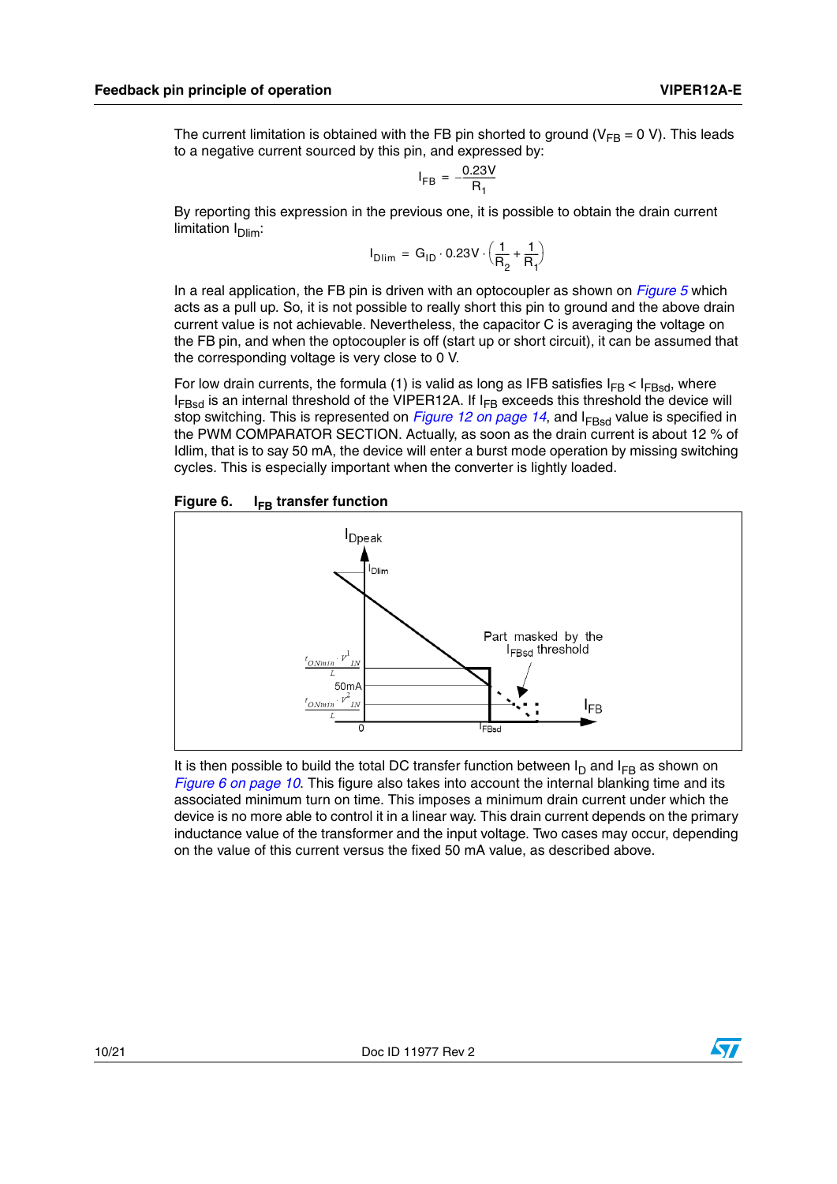The current limitation is obtained with the FB pin shorted to ground ( $V_{FB} = 0 V$ ). This leads to a negative current sourced by this pin, and expressed by:

$$
I_{FB} = -\frac{0.23V}{R_1}
$$

By reporting this expression in the previous one, it is possible to obtain the drain current limitation  $I<sub>Dim</sub>$ :

$$
I_{Dlim} = G_{1D} \cdot 0.23V \cdot \left(\frac{1}{R_2} + \frac{1}{R_1}\right)
$$

In a real application, the FB pin is driven with an optocoupler as shown on *[Figure 5](#page-8-1)* which acts as a pull up. So, it is not possible to really short this pin to ground and the above drain current value is not achievable. Nevertheless, the capacitor C is averaging the voltage on the FB pin, and when the optocoupler is off (start up or short circuit), it can be assumed that the corresponding voltage is very close to 0 V.

For low drain currents, the formula (1) is valid as long as IFB satisfies  $I_{FB} < I_{FBsd}$ , where  $I_{FBSd}$  is an internal threshold of the VIPER12A. If  $I_{FB}$  exceeds this threshold the device will stop switching. This is represented on *[Figure 12 on page 14](#page-13-0)*, and I<sub>FBsd</sub> value is specified in the PWM COMPARATOR SECTION. Actually, as soon as the drain current is about 12 % of Idlim, that is to say 50 mA, the device will enter a burst mode operation by missing switching cycles. This is especially important when the converter is lightly loaded.

#### <span id="page-9-0"></span>Figure 6. **I<sub>FB</sub> transfer function**



It is then possible to build the total DC transfer function between  $I_D$  and  $I_{FB}$  as shown on *[Figure 6 on page 10](#page-9-0)*. This figure also takes into account the internal blanking time and its associated minimum turn on time. This imposes a minimum drain current under which the device is no more able to control it in a linear way. This drain current depends on the primary inductance value of the transformer and the input voltage. Two cases may occur, depending on the value of this current versus the fixed 50 mA value, as described above.

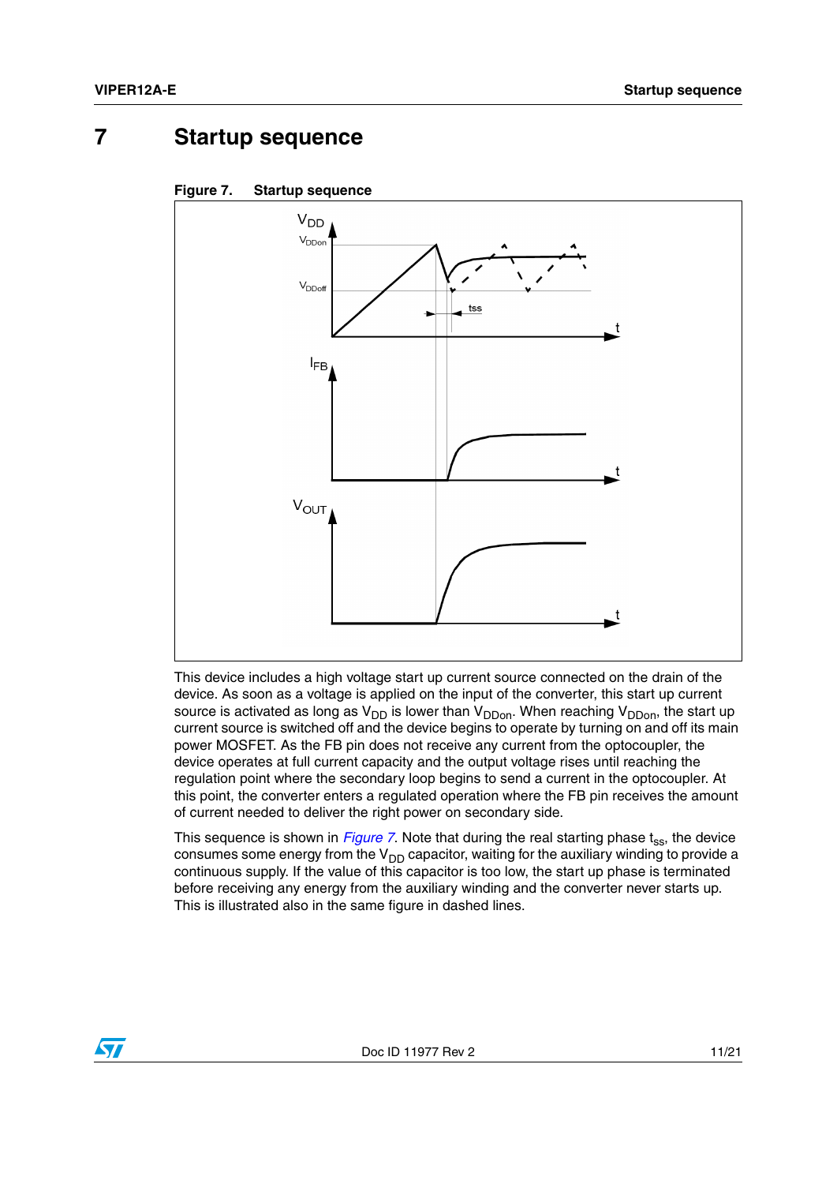### <span id="page-10-0"></span>**7 Startup sequence**

<span id="page-10-1"></span>



This device includes a high voltage start up current source connected on the drain of the device. As soon as a voltage is applied on the input of the converter, this start up current source is activated as long as  $V_{DD}$  is lower than  $V_{DDon}$ . When reaching  $V_{DDon}$ , the start up current source is switched off and the device begins to operate by turning on and off its main power MOSFET. As the FB pin does not receive any current from the optocoupler, the device operates at full current capacity and the output voltage rises until reaching the regulation point where the secondary loop begins to send a current in the optocoupler. At this point, the converter enters a regulated operation where the FB pin receives the amount of current needed to deliver the right power on secondary side.

This sequence is shown in *[Figure 7](#page-10-1)*. Note that during the real starting phase t<sub>ss</sub>, the device consumes some energy from the  $V_{DD}$  capacitor, waiting for the auxiliary winding to provide a continuous supply. If the value of this capacitor is too low, the start up phase is terminated before receiving any energy from the auxiliary winding and the converter never starts up. This is illustrated also in the same figure in dashed lines.

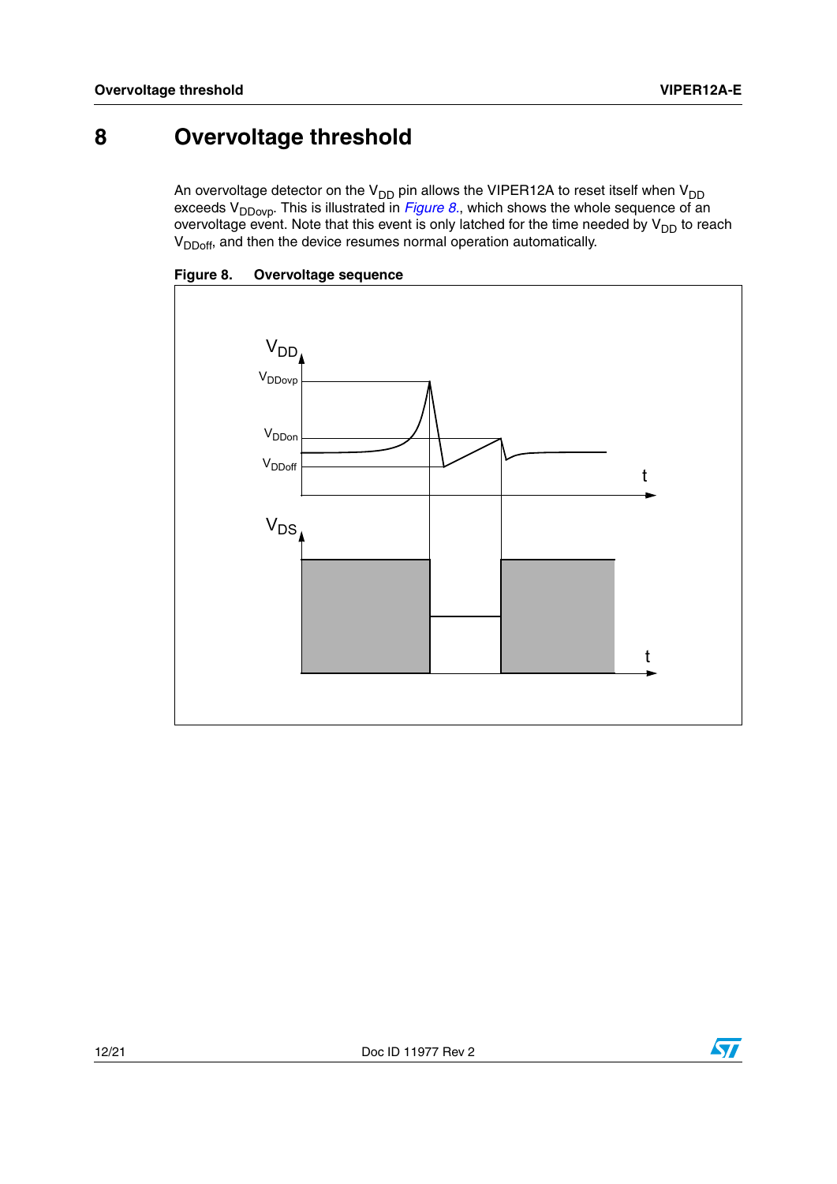### <span id="page-11-0"></span>**8 Overvoltage threshold**

An overvoltage detector on the V<sub>DD</sub> pin allows the VIPER12A to reset itself when V<sub>DD</sub> exceeds V<sub>DDovp</sub>. This is illustrated in *[Figure 8.](#page-11-1)*, which shows the whole sequence of an overvoltage event. Note that this event is only latched for the time needed by  $\mathsf{V}_{\mathsf{DD}}$  to reach  $V<sub>DDoff</sub>$ , and then the device resumes normal operation automatically.



<span id="page-11-1"></span>**Figure 8. Overvoltage sequence**

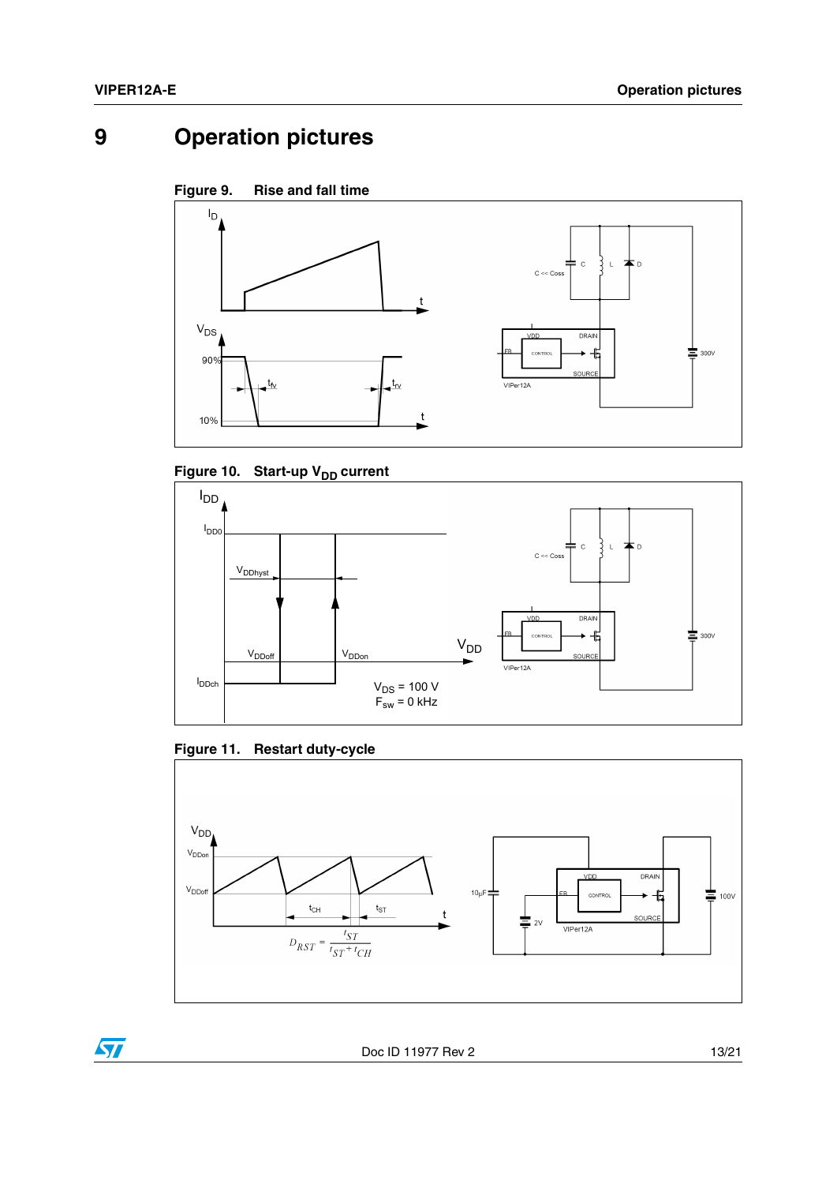## <span id="page-12-0"></span>**9 Operation pictures**

<span id="page-12-1"></span>

<span id="page-12-2"></span>Figure 10. Start-up V<sub>DD</sub> current



#### <span id="page-12-3"></span>**Figure 11. Restart duty-cycle**



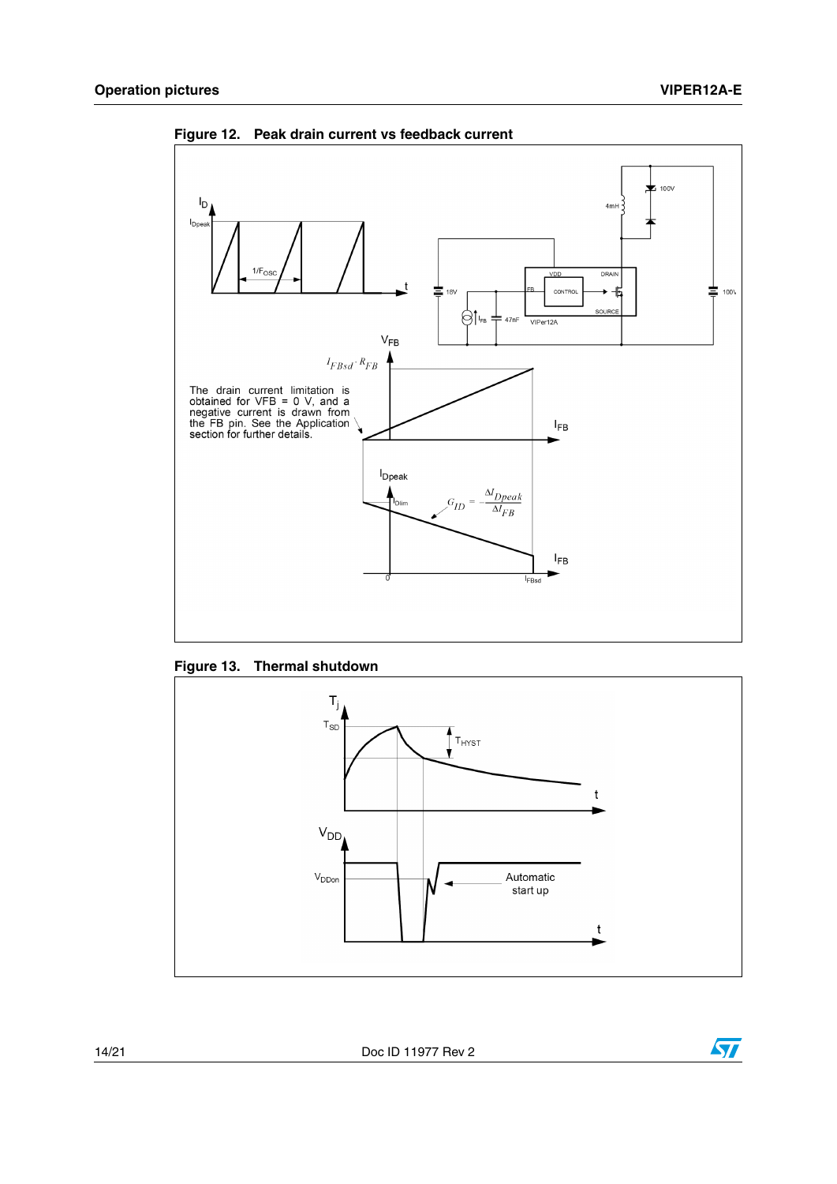

<span id="page-13-0"></span>**Figure 12. Peak drain current vs feedback current**

<span id="page-13-1"></span>



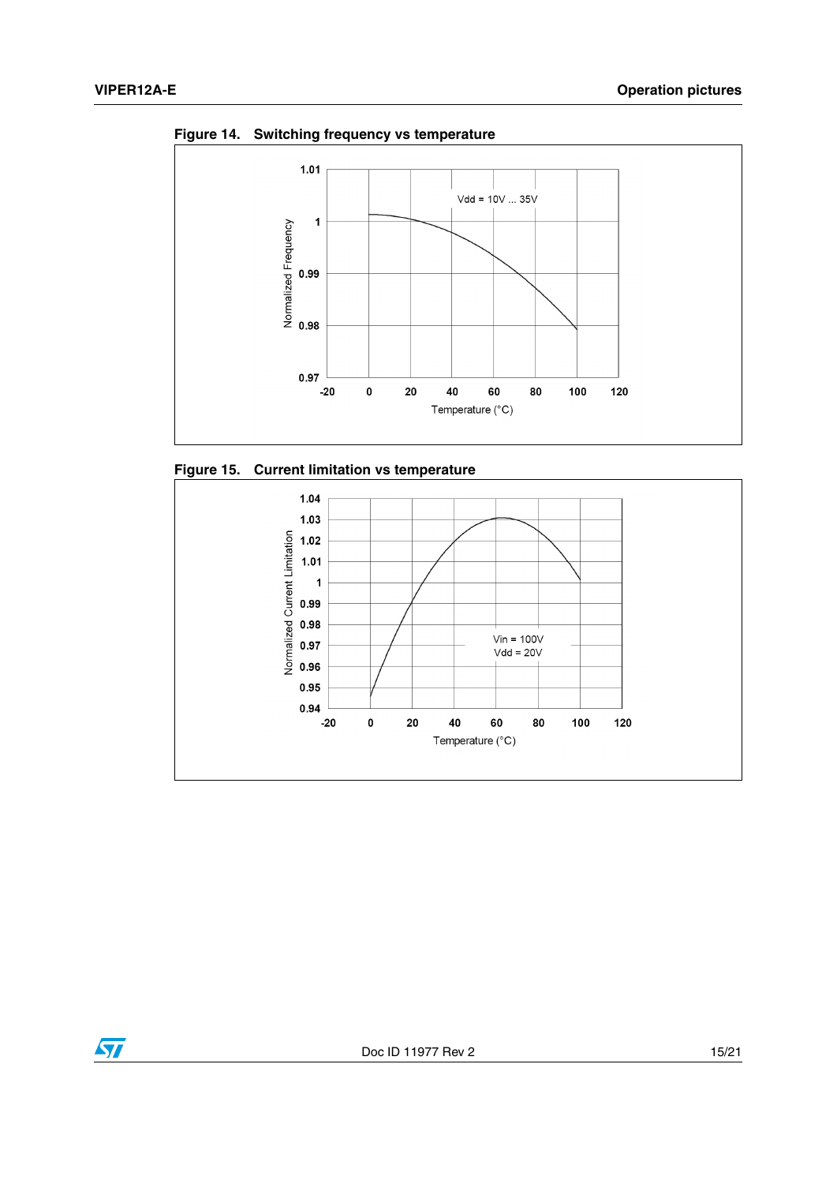

**Figure 14. Switching frequency vs temperature**





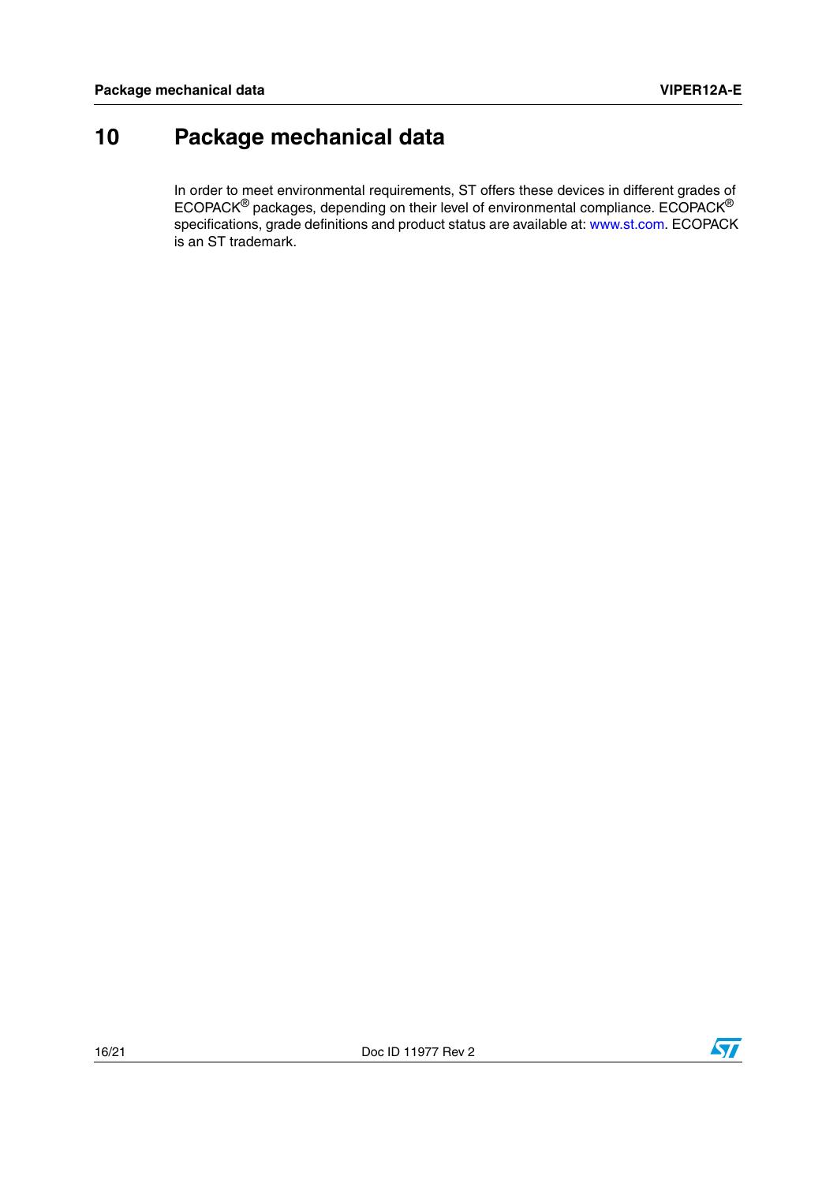## <span id="page-15-0"></span>**10 Package mechanical data**

In order to meet environmental requirements, ST offers these devices in different grades of ECOPACK® packages, depending on their level of environmental compliance. ECOPACK® specifications, grade definitions and product status are available at: www.st.com. ECOPACK is an ST trademark.

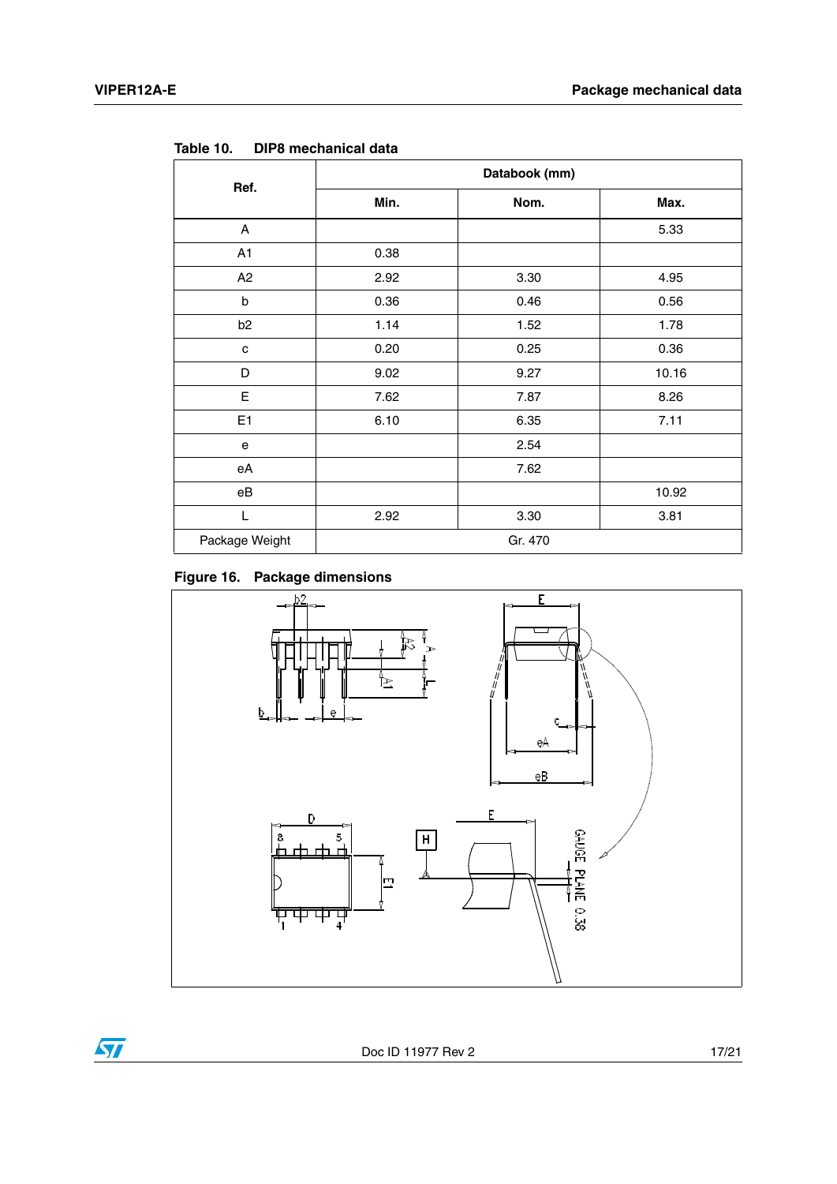$\sqrt{2}$ 

| Ref.           | Databook (mm) |      |       |  |  |
|----------------|---------------|------|-------|--|--|
|                | Min.          | Nom. | Max.  |  |  |
| A              |               |      | 5.33  |  |  |
| A1             | 0.38          |      |       |  |  |
| A2             | 2.92          | 3.30 | 4.95  |  |  |
| b              | 0.36          | 0.46 | 0.56  |  |  |
| b <sub>2</sub> | 1.14          | 1.52 | 1.78  |  |  |
| C              | 0.20          | 0.25 | 0.36  |  |  |
| D              | 9.02          | 9.27 | 10.16 |  |  |
| E              | 7.62          | 7.87 | 8.26  |  |  |
| E <sub>1</sub> | 6.10          | 6.35 | 7.11  |  |  |
| ${\bf e}$      |               | 2.54 |       |  |  |
| eA             |               | 7.62 |       |  |  |
| eB             |               |      | 10.92 |  |  |
| L              | 2.92          | 3.30 | 3.81  |  |  |
| Package Weight | Gr. 470       |      |       |  |  |

**Table 10. DIP8 mechanical data**



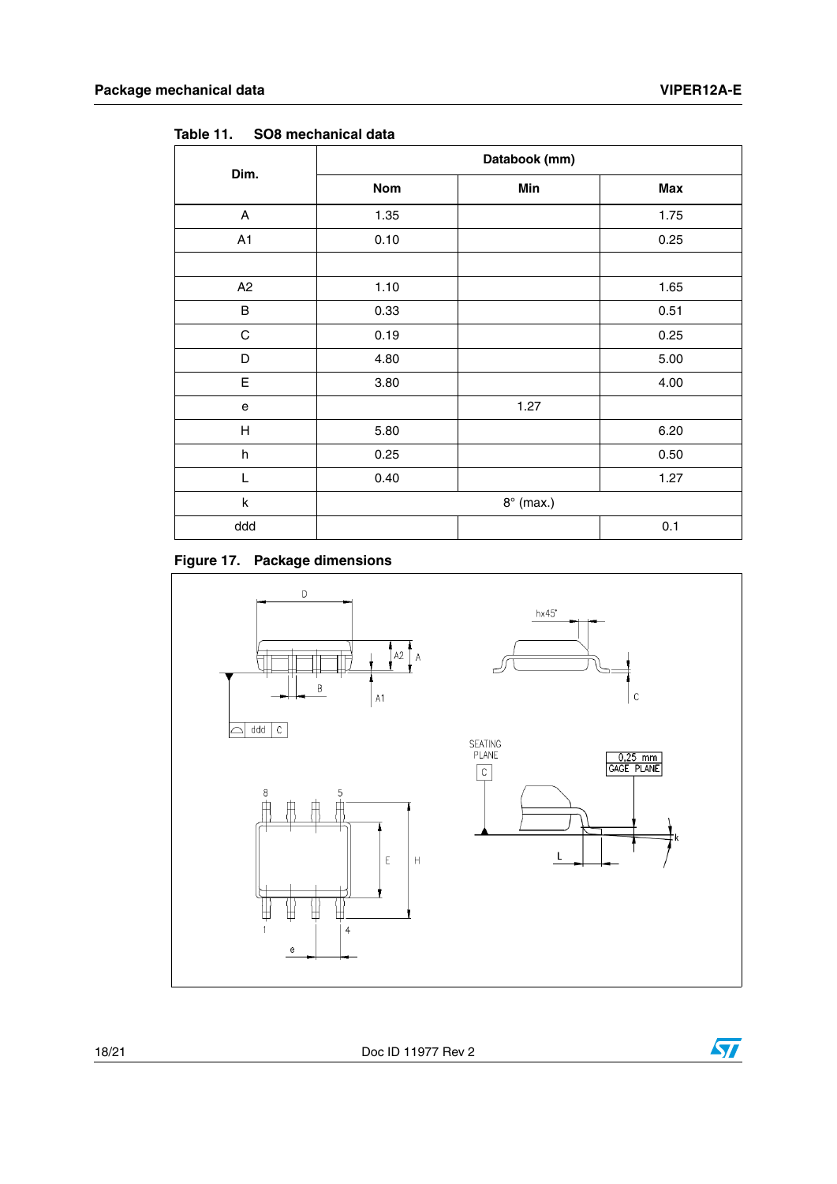| Dim.    | Databook (mm)    |      |      |
|---------|------------------|------|------|
|         | Nom              | Min  | Max  |
| A       | 1.35             |      | 1.75 |
| A1      | 0.10             |      | 0.25 |
|         |                  |      |      |
| A2      | 1.10             |      | 1.65 |
| B       | 0.33             |      | 0.51 |
| C       | 0.19             |      | 0.25 |
| D       | 4.80             |      | 5.00 |
| E       | 3.80             |      | 4.00 |
| e       |                  | 1.27 |      |
| Н       | 5.80             |      | 6.20 |
| $\sf h$ | 0.25             |      | 0.50 |
| L       | 0.40             |      | 1.27 |
| $\sf k$ | $8^\circ$ (max.) |      |      |
| ddd     |                  |      | 0.1  |

**Table 11. SO8 mechanical data**



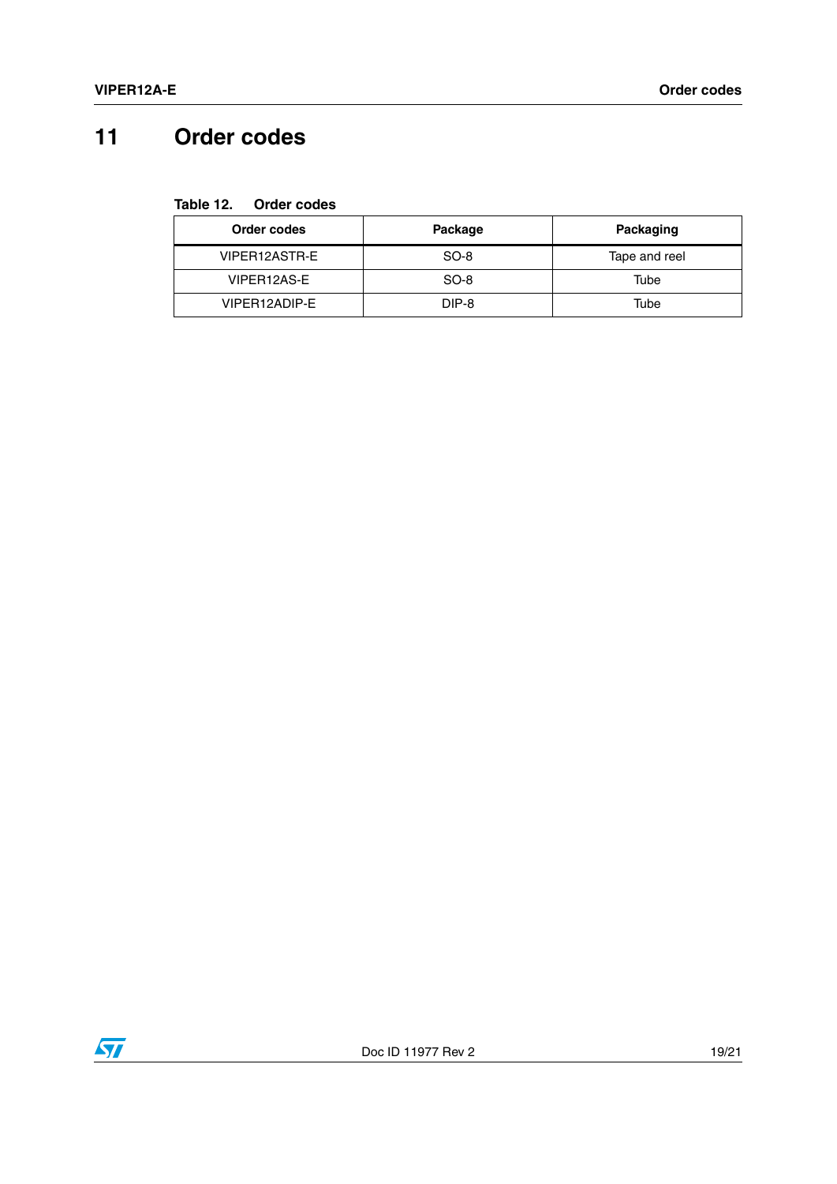## <span id="page-18-0"></span>**11 Order codes**

**Table 12. Order codes**

| Order codes   | Package | Packaging     |
|---------------|---------|---------------|
| VIPER12ASTR-E | SO-8    | Tape and reel |
| VIPER12AS-E   | SO-8    | Tube          |
| VIPER12ADIP-E | DIP-8   | Tube          |

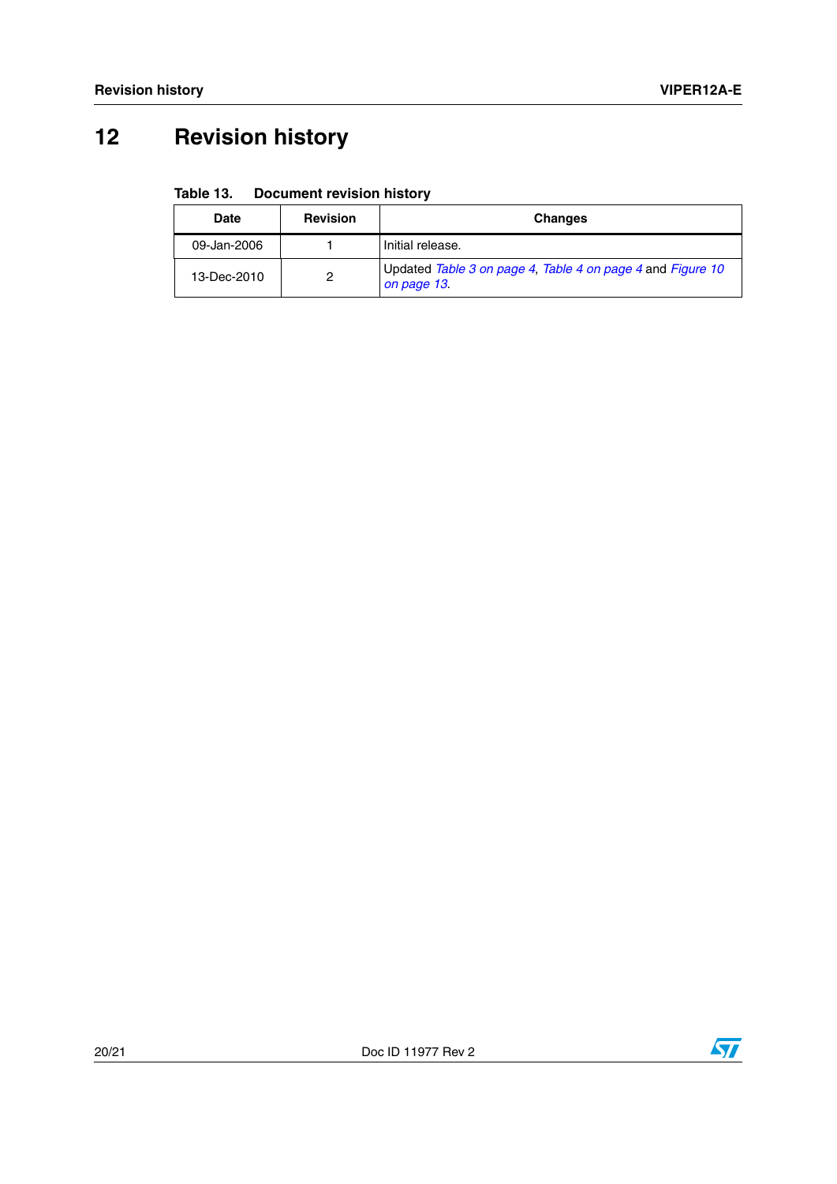# <span id="page-19-0"></span>**12 Revision history**

#### Table 13. **Document revision history**

| Date        | <b>Revision</b> | <b>Changes</b>                                                            |
|-------------|-----------------|---------------------------------------------------------------------------|
| 09-Jan-2006 |                 | Initial release.                                                          |
| 13-Dec-2010 | ົ               | Updated Table 3 on page 4, Table 4 on page 4 and Figure 10<br>on page 13. |

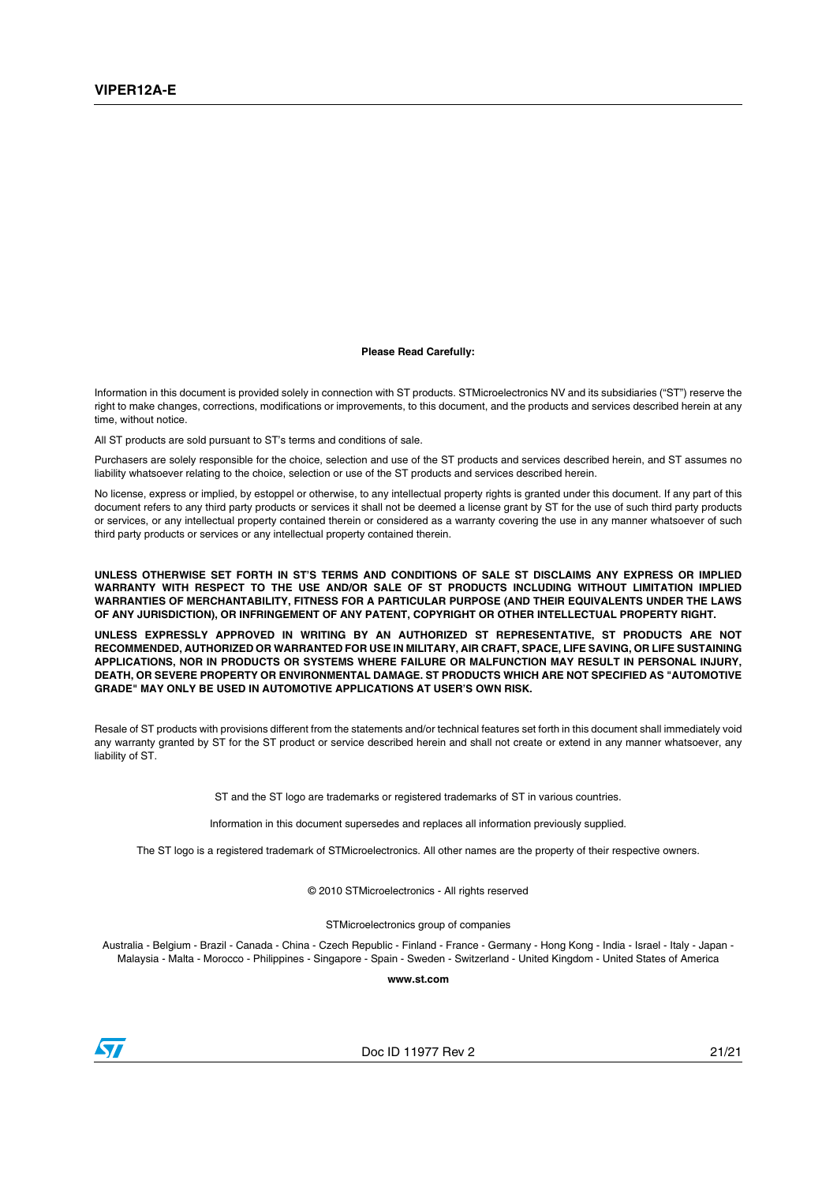#### **Please Read Carefully:**

Information in this document is provided solely in connection with ST products. STMicroelectronics NV and its subsidiaries ("ST") reserve the right to make changes, corrections, modifications or improvements, to this document, and the products and services described herein at any time, without notice.

All ST products are sold pursuant to ST's terms and conditions of sale.

Purchasers are solely responsible for the choice, selection and use of the ST products and services described herein, and ST assumes no liability whatsoever relating to the choice, selection or use of the ST products and services described herein.

No license, express or implied, by estoppel or otherwise, to any intellectual property rights is granted under this document. If any part of this document refers to any third party products or services it shall not be deemed a license grant by ST for the use of such third party products or services, or any intellectual property contained therein or considered as a warranty covering the use in any manner whatsoever of such third party products or services or any intellectual property contained therein.

**UNLESS OTHERWISE SET FORTH IN ST'S TERMS AND CONDITIONS OF SALE ST DISCLAIMS ANY EXPRESS OR IMPLIED WARRANTY WITH RESPECT TO THE USE AND/OR SALE OF ST PRODUCTS INCLUDING WITHOUT LIMITATION IMPLIED WARRANTIES OF MERCHANTABILITY, FITNESS FOR A PARTICULAR PURPOSE (AND THEIR EQUIVALENTS UNDER THE LAWS OF ANY JURISDICTION), OR INFRINGEMENT OF ANY PATENT, COPYRIGHT OR OTHER INTELLECTUAL PROPERTY RIGHT.**

**UNLESS EXPRESSLY APPROVED IN WRITING BY AN AUTHORIZED ST REPRESENTATIVE, ST PRODUCTS ARE NOT RECOMMENDED, AUTHORIZED OR WARRANTED FOR USE IN MILITARY, AIR CRAFT, SPACE, LIFE SAVING, OR LIFE SUSTAINING APPLICATIONS, NOR IN PRODUCTS OR SYSTEMS WHERE FAILURE OR MALFUNCTION MAY RESULT IN PERSONAL INJURY, DEATH, OR SEVERE PROPERTY OR ENVIRONMENTAL DAMAGE. ST PRODUCTS WHICH ARE NOT SPECIFIED AS "AUTOMOTIVE GRADE" MAY ONLY BE USED IN AUTOMOTIVE APPLICATIONS AT USER'S OWN RISK.**

Resale of ST products with provisions different from the statements and/or technical features set forth in this document shall immediately void any warranty granted by ST for the ST product or service described herein and shall not create or extend in any manner whatsoever, any liability of ST.

ST and the ST logo are trademarks or registered trademarks of ST in various countries.

Information in this document supersedes and replaces all information previously supplied.

The ST logo is a registered trademark of STMicroelectronics. All other names are the property of their respective owners.

© 2010 STMicroelectronics - All rights reserved

STMicroelectronics group of companies

Australia - Belgium - Brazil - Canada - China - Czech Republic - Finland - France - Germany - Hong Kong - India - Israel - Italy - Japan - Malaysia - Malta - Morocco - Philippines - Singapore - Spain - Sweden - Switzerland - United Kingdom - United States of America

**www.st.com**



Doc ID 11977 Rev 2 21/21